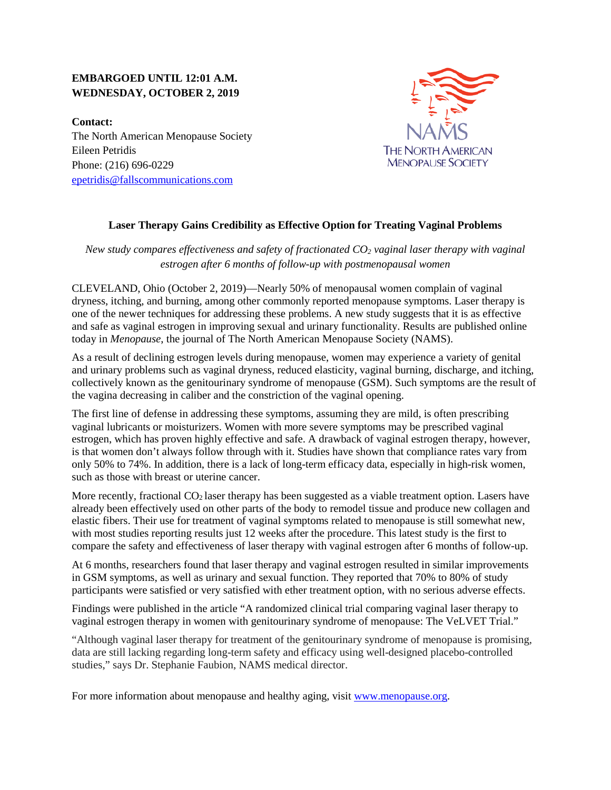## **EMBARGOED UNTIL 12:01 A.M. WEDNESDAY, OCTOBER 2, 2019**

**Contact:** The North American Menopause Society Eileen Petridis Phone: (216) 696-0229 [epetridis@fallscommunications.com](mailto:coneill@fallscommunications.com)



## **Laser Therapy Gains Credibility as Effective Option for Treating Vaginal Problems**

*New study compares effectiveness and safety of fractionated CO2 vaginal laser therapy with vaginal estrogen after 6 months of follow-up with postmenopausal women*

CLEVELAND, Ohio (October 2, 2019)—Nearly 50% of menopausal women complain of vaginal dryness, itching, and burning, among other commonly reported menopause symptoms. Laser therapy is one of the newer techniques for addressing these problems. A new study suggests that it is as effective and safe as vaginal estrogen in improving sexual and urinary functionality. Results are published online today in *Menopause*, the journal of The North American Menopause Society (NAMS).

As a result of declining estrogen levels during menopause, women may experience a variety of genital and urinary problems such as vaginal dryness, reduced elasticity, vaginal burning, discharge, and itching, collectively known as the genitourinary syndrome of menopause (GSM). Such symptoms are the result of the vagina decreasing in caliber and the constriction of the vaginal opening.

The first line of defense in addressing these symptoms, assuming they are mild, is often prescribing vaginal lubricants or moisturizers. Women with more severe symptoms may be prescribed vaginal estrogen, which has proven highly effective and safe. A drawback of vaginal estrogen therapy, however, is that women don't always follow through with it. Studies have shown that compliance rates vary from only 50% to 74%. In addition, there is a lack of long-term efficacy data, especially in high-risk women, such as those with breast or uterine cancer.

More recently, fractional  $CO<sub>2</sub>$  laser therapy has been suggested as a viable treatment option. Lasers have already been effectively used on other parts of the body to remodel tissue and produce new collagen and elastic fibers. Their use for treatment of vaginal symptoms related to menopause is still somewhat new, with most studies reporting results just 12 weeks after the procedure. This latest study is the first to compare the safety and effectiveness of laser therapy with vaginal estrogen after 6 months of follow-up.

At 6 months, researchers found that laser therapy and vaginal estrogen resulted in similar improvements in GSM symptoms, as well as urinary and sexual function. They reported that 70% to 80% of study participants were satisfied or very satisfied with ether treatment option, with no serious adverse effects.

Findings were published in the article "A randomized clinical trial comparing vaginal laser therapy to vaginal estrogen therapy in women with genitourinary syndrome of menopause: The VeLVET Trial."

"Although vaginal laser therapy for treatment of the genitourinary syndrome of menopause is promising, data are still lacking regarding long-term safety and efficacy using well-designed placebo-controlled studies," says Dr. Stephanie Faubion, NAMS medical director.

For more information about menopause and healthy aging, visit [www.menopause.org.](http://www.menopause.org/)